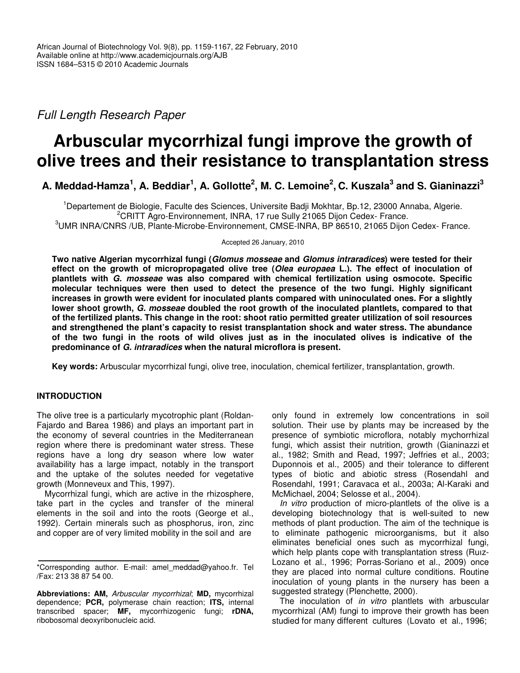*Full Length Research Paper*

# **Arbuscular mycorrhizal fungi improve the growth of olive trees and their resistance to transplantation stress**

A. Meddad-Hamza<sup>1</sup>, A. Beddiar<sup>1</sup>, A. Gollotte<sup>2</sup>, M. C. Lemoine<sup>2</sup>, C. Kuszala<sup>3</sup> and S. Gianinazzi<sup>3</sup>

<sup>1</sup>Departement de Biologie, Faculte des Sciences, Universite Badji Mokhtar, Bp.12, 23000 Annaba, Algerie. <sup>2</sup>CRITT Agro-Environnement, INRA, 17 rue Sully 21065 Dijon Cedex- France. <sup>3</sup>UMR INRA/CNRS /UB, Plante-Microbe-Environnement, CMSE-INRA, BP 86510, 21065 Dijon Cedex- France.

Accepted 26 January, 2010

**Two native Algerian mycorrhizal fungi (***Glomus mosseae* **and** *Glomus intraradices***) were tested for their effect on the growth of micropropagated olive tree (***Olea europaea* **L.). The effect of inoculation of plantlets with** *G. mosseae* **was also compared with chemical fertilization using osmocote. Specific molecular techniques were then used to detect the presence of the two fungi. Highly significant increases in growth were evident for inoculated plants compared with uninoculated ones. For a slightly lower shoot growth,** *G. mosseae* **doubled the root growth of the inoculated plantlets, compared to that** of the fertilized plants. This change in the root: shoot ratio permitted greater utilization of soil resources **and strengthened the plant's capacity to resist transplantation shock and water stress. The abundance** of the two fungi in the roots of wild olives just as in the inoculated olives is indicative of the **predominance of** *G. intraradices* **when the natural microflora is present.**

**Key words:** Arbuscular mycorrhizal fungi, olive tree, inoculation, chemical fertilizer, transplantation, growth.

# **INTRODUCTION**

The olive tree is a particularly mycotrophic plant (Roldan-Fajardo and Barea 1986) and plays an important part in the economy of several countries in the Mediterranean region where there is predominant water stress. These regions have a long dry season where low water availability has a large impact, notably in the transport and the uptake of the solutes needed for vegetative growth (Monneveux and This, 1997).

Mycorrhizal fungi, which are active in the rhizosphere, take part in the cycles and transfer of the mineral elements in the soil and into the roots (George et al., 1992). Certain minerals such as phosphorus, iron, zinc and copper are of very limited mobility in the soil and are

only found in extremely low concentrations in soil solution. Their use by plants may be increased by the presence of symbiotic microflora, notably mychorrhizal fungi, which assist their nutrition, growth (Gianinazzi et al., 1982; Smith and Read, 1997; Jeffries et al., 2003; Duponnois et al., 2005) and their tolerance to different types of biotic and abiotic stress (Rosendahl and Rosendahl, 1991; Caravaca et al., 2003a; Al-Karaki and McMichael, 2004; Selosse et al., 2004).

*In vitro* production of micro-plantlets of the olive is a developing biotechnology that is well-suited to new methods of plant production. The aim of the technique is to eliminate pathogenic microorganisms, but it also eliminates beneficial ones such as mycorrhizal fungi, which help plants cope with transplantation stress (Ruız-Lozano et al., 1996; Porras-Soriano et al., 2009) once they are placed into normal culture conditions. Routine inoculation of young plants in the nursery has been a suggested strategy (Plenchette, 2000).

The inoculation of *in vitro* plantlets with arbuscular mycorrhizal (AM) fungi to improve their growth has been studied for many different cultures (Lovato et al., 1996;

<sup>\*</sup>Corresponding author. E-mail: amel\_meddad@yahoo.fr. Tel /Fax: 213 38 87 54 00.

**Abbreviations: AM,** *Arbuscular mycorrhizal*; **MD,** mycorrhizal dependence; **PCR,** polymerase chain reaction; **ITS,** internal transcribed spacer; **MF,** mycorrhizogenic fungi; **rDNA,** ribobosomal deoxyribonucleic acid.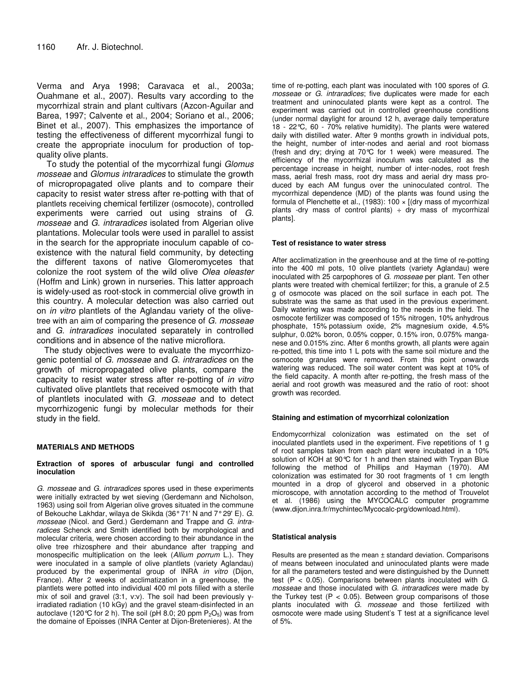Verma and Arya 1998; Caravaca et al., 2003a; Ouahmane et al., 2007). Results vary according to the mycorrhizal strain and plant cultivars (Azcon-Aguilar and Barea, 1997; Calvente et al., 2004; Soriano et al., 2006; Binet et al., 2007). This emphasizes the importance of testing the effectiveness of different mycorrhizal fungi to create the appropriate inoculum for production of topquality olive plants.

To study the potential of the mycorrhizal fungi *Glomus mosseae* and *Glomus intraradices* to stimulate the growth of micropropagated olive plants and to compare their capacity to resist water stress after re-potting with that of plantlets receiving chemical fertilizer (osmocote), controlled experiments were carried out using strains of *G. mosseae* and *G*. *intraradices* isolated from Algerian olive plantations. Molecular tools were used in parallel to assist in the search for the appropriate inoculum capable of coexistence with the natural field community, by detecting the different taxons of native Glomeromycetes that colonize the root system of the wild olive *Olea oleaster* (Hoffm and Link) grown in nurseries. This latter approach is widely-used as root-stock in commercial olive growth in this country. A molecular detection was also carried out on *in vitro* plantlets of the Aglandau variety of the olivetree with an aim of comparing the presence of *G. mosseae* and *G. intraradices* inoculated separately in controlled conditions and in absence of the native microflora.

The study objectives were to evaluate the mycorrhizogenic potential of *G. mosseae* and *G. intraradices* on the growth of micropropagated olive plants, compare the capacity to resist water stress after re-potting of *in vitro* cultivated olive plantlets that received osmocote with that of plantlets inoculated with *G. mosseae* and to detect mycorrhizogenic fungi by molecular methods for their study in the field.

## **MATERIALS AND METHODS**

## **Extraction of spores of arbuscular fungi and controlled inoculation**

*G. mosseae* and *G. intraradices* spores used in these experiments were initially extracted by wet sieving (Gerdemann and Nicholson, 1963) using soil from Algerian olive groves situated in the commune of Bekouche Lakhdar, wilaya de Skikda (36°71' N and 7°29' E). *G. mosseae* (Nicol. and Gerd.) Gerdemann and Trappe and *G. intraradices* Schenck and Smith identified both by morphological and molecular criteria, were chosen according to their abundance in the olive tree rhizosphere and their abundance after trapping and monospecific multiplication on the leek (*Allium porrum* L.). They were inoculated in a sample of olive plantlets (variety Aglandau) produced by the experimental group of INRA *in vitro* (Dijon, France). After 2 weeks of acclimatization in a greenhouse, the plantlets were potted into individual 400 ml pots filled with a sterile mix of soil and gravel  $(3:1, v:v)$ . The soil had been previously  $v$ irradiated radiation (10 kGy) and the gravel steam-disinfected in an autoclave (120 °C for 2 h). The soil (pH 8.0; 20 ppm  $P_2O_5$ ) was from the domaine of Epoisses (INRA Center at Dijon-Bretenieres). At the

time of re-potting, each plant was inoculated with 100 spores of *G. mosseae* or *G. intraradices*; five duplicates were made for each treatment and uninoculated plants were kept as a control. The experiment was carried out in controlled greenhouse conditions (under normal daylight for around 12 h, average daily temperature 18 - 22°C, 60 - 70% relative humidity). The plants were watered daily with distilled water. After 9 months growth in individual pots, the height, number of inter-nodes and aerial and root biomass (fresh and dry; drying at 70°C for 1 week) were measured. The efficiency of the mycorrhizal inoculum was calculated as the percentage increase in height, number of inter-nodes, root fresh mass, aerial fresh mass, root dry mass and aerial dry mass produced by each AM fungus over the uninoculated control. The mycorrhizal dependence (MD) of the plants was found using the formula of Plenchette et al., (1983): 100  $\times$  [(dry mass of mycorrhizal plants -dry mass of control plants)  $\div$  dry mass of mycorrhizal plants].

## **Test of resistance to water stress**

After acclimatization in the greenhouse and at the time of re-potting into the 400 ml pots, 10 olive plantlets (variety Aglandau) were inoculated with 25 carpophores of *G*. *mosseae* per plant. Ten other plants were treated with chemical fertilizer; for this, a granule of 2.5 g of osmocote was placed on the soil surface in each pot. The substrate was the same as that used in the previous experiment. Daily watering was made according to the needs in the field. The osmocote fertilizer was composed of 15% nitrogen, 10% anhydrous phosphate, 15% potassium oxide, 2% magnesium oxide, 4.5% sulphur, 0.02% boron, 0.05% copper, 0.15% iron, 0.075% manganese and 0.015% zinc. After 6 months growth, all plants were again re-potted, this time into 1 L pots with the same soil mixture and the osmocote granules were removed. From this point onwards watering was reduced. The soil water content was kept at 10% of the field capacity. A month after re-potting, the fresh mass of the aerial and root growth was measured and the ratio of root: shoot growth was recorded.

## **Staining and estimation of mycorrhizal colonization**

Endomycorrhizal colonization was estimated on the set of inoculated plantlets used in the experiment. Five repetitions of 1 g of root samples taken from each plant were incubated in a 10% solution of KOH at 90 °C for 1 h and then stained with Trypan Blue following the method of Phillips and Hayman (1970). AM colonization was estimated for 30 root fragments of 1 cm length mounted in a drop of glycerol and observed in a photonic microscope, with annotation according to the method of Trouvelot et al. (1986) using the MYCOCALC computer programme (www.dijon.inra.fr/mychintec/Mycocalc-prg/download.html).

## **Statistical analysis**

Results are presented as the mean ± standard deviation. Comparisons of means between inoculated and uninoculated plants were made for all the parameters tested and were distinguished by the Dunnett test (P < 0.05). Comparisons between plants inoculated with *G. mosseae* and those inoculated with *G. intraradices* were made by the Turkey test  $(P < 0.05)$ . Between group comparisons of those plants inoculated with *G. mosseae* and those fertilized with osmocote were made using Student's T test at a significance level of 5%.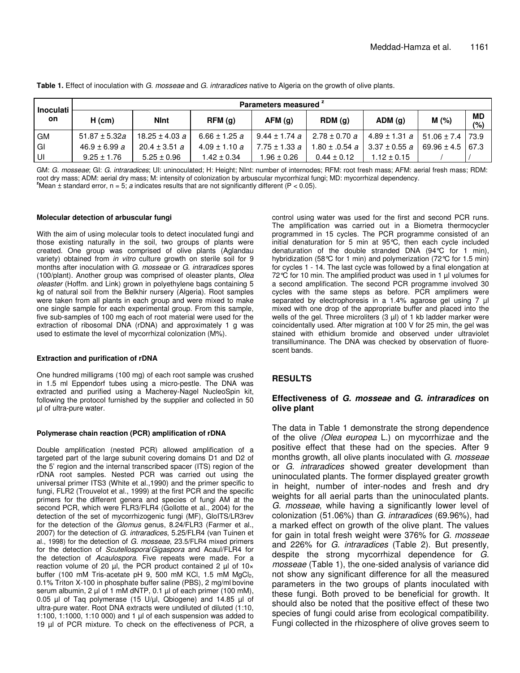| <b>Inoculati</b><br>on | Parameters measured <sup>2</sup> |                      |                   |                                       |                                       |                                                 |                      |           |  |  |  |  |
|------------------------|----------------------------------|----------------------|-------------------|---------------------------------------|---------------------------------------|-------------------------------------------------|----------------------|-----------|--|--|--|--|
|                        | $H$ (cm)                         | <b>Nint</b>          | RFM(q)            | AFM (g)                               | RDM(a)                                | ADM(q)                                          | $M(\%)$              | MD<br>(%) |  |  |  |  |
| <b>GM</b>              | $51.87 \pm 5.32a$                | 18.25 $\pm$ 4.03 a l | $6.66 \pm 1.25 a$ | $9.44 \pm 1.74$ a   2.78 $\pm$ 0.70 a |                                       | $4.89 \pm 1.31 \text{ a}$ 51.06 $\pm$ 7.4 173.9 |                      |           |  |  |  |  |
| GI                     | $46.9 \pm 6.99 a$                | $20.4 \pm 3.51 a$    | $4.09 \pm 1.10 a$ | $7.75 \pm 1.33$ a l                   | $1.80 \pm 0.54$ a   3.37 $\pm$ 0.55 a |                                                 | $69.96 \pm 4.5$ 67.3 |           |  |  |  |  |
| UI                     | $9.25 \pm 1.76$                  | $5.25 \pm 0.96$      | $1.42 \pm 0.34$   | $1.96 \pm 0.26$                       | $0.44 \pm 0.12$                       | $1.12 \pm 0.15$                                 |                      |           |  |  |  |  |

**Table 1.** Effect of inoculation with *G. mosseae* and *G. intraradices* native to Algeria on the growth of olive plants.

GM: *G. mosseae*; GI: *G. intraradices*; UI: uninoculated; H: Height; NInt: number of internodes; RFM: root fresh mass; AFM: aerial fresh mass; RDM: root dry mass; ADM: aerial dry mass; M: intensity of colonization by arbuscular mycorrhizal fungi; MD: mycorrhizal dependency.  $^2$ **Mean**  $\pm$  **standard error, n = 5;** *a* indicates results that are not significantly different (P < 0.05).

## **Molecular detection of arbuscular fungi**

With the aim of using molecular tools to detect inoculated fungi and those existing naturally in the soil, two groups of plants were created. One group was comprised of olive plants (Aglandau variety) obtained from *in vitro* culture growth on sterile soil for 9 months after inoculation with *G. mosseae* or *G. intraradices* spores (100/plant). Another group was comprised of oleaster plants, *Olea oleaster* (Hoffm. and Link) grown in polyethylene bags containing 5 kg of natural soil from the Belkhir nursery (Algeria). Root samples were taken from all plants in each group and were mixed to make one single sample for each experimental group. From this sample, five sub-samples of 100 mg each of root material were used for the extraction of ribosomal DNA (rDNA) and approximately 1 g was used to estimate the level of mycorrhizal colonization (M%).

## **Extraction and purification of rDNA**

One hundred milligrams (100 mg) of each root sample was crushed in 1.5 ml Eppendorf tubes using a micro-pestle. The DNA was extracted and purified using a Macherey-Nagel NucleoSpin kit, following the protocol furnished by the supplier and collected in 50 µl of ultra-pure water.

## **Polymerase chain reaction (PCR) amplification of rDNA**

Double amplification (nested PCR) allowed amplification of a targeted part of the large subunit covering domains D1 and D2 of the 5' region and the internal transcribed spacer (ITS) region of the rDNA root samples. Nested PCR was carried out using the universal primer ITS3 (White et al.,1990) and the primer specific to fungi, FLR2 (Trouvelot et al., 1999) at the first PCR and the specific primers for the different genera and species of fungi AM at the second PCR, which were FLR3/FLR4 (Gollotte et al., 2004) for the detection of the set of mycorrhizogenic fungi (MF), GloITS/LR3rev for the detection of the *Glomus* genus, 8.24/FLR3 (Farmer et al., 2007) for the detection of *G. intraradices*, 5.25/FLR4 (van Tuinen et al., 1998) for the detection of *G. mosseae*, 23.5/FLR4 mixed primers for the detection of *Scutellospora*/*Gigaspora* and Acaul/FLR4 for the detection of *Acaulospora*. Five repeats were made. For a reaction volume of 20  $\mu$ l, the PCR product contained 2  $\mu$ l of 10× buffer (100 mM Tris-acetate pH 9, 500 mM KCl, 1.5 mM MgCl<sub>2</sub>, 0.1% Triton X-100 in phosphate buffer saline (PBS), 2 mg/ml bovine serum albumin, 2 µl of 1 mM dNTP, 0.1 µl of each primer (100 mM), 0.05 µl of Taq polymerase (15 U/µl, Qbiogene) and 14.85 µl of ultra-pure water. Root DNA extracts were undiluted of diluted (1:10, 1:100, 1:1000, 1:10 000) and 1 µl of each suspension was added to 19 µl of PCR mixture. To check on the effectiveness of PCR, a

control using water was used for the first and second PCR runs. The amplification was carried out in a Biometra thermocycler programmed in 15 cycles. The PCR programme consisted of an initial denaturation for 5 min at 95°C, then each cycle included denaturation of the double stranded DNA (94°C for 1 min), hybridization (58°C for 1 min) and polymerization (72°C for 1.5 min) for cycles 1 - 14. The last cycle was followed by a final elongation at 72℃ for 10 min. The amplified product was used in 1 µl volumes for a second amplification. The second PCR programme involved 30 cycles with the same steps as before. PCR amplimers were separated by electrophoresis in a 1.4% agarose gel using 7  $\mu$ l mixed with one drop of the appropriate buffer and placed into the wells of the gel. Three microliters  $(3 \mu l)$  of 1 kb ladder marker were coincidentally used. After migration at 100 V for 25 min, the gel was stained with ethidium bromide and observed under ultraviolet transilluminance. The DNA was checked by observation of fluorescent bands.

# **RESULTS**

# **Effectiveness of** *G. mosseae* **and** *G. intraradices* **on olive plant**

The data in Table 1 demonstrate the strong dependence of the olive *(Olea europea* L.) on mycorrhizae and the positive effect that these had on the species. After 9 months growth, all olive plants inoculated with *G. mosseae* or *G*. *intraradices* showed greater development than uninoculated plants. The former displayed greater growth in height, number of inter-nodes and fresh and dry weights for all aerial parts than the uninoculated plants. *G. mosseae*, while having a significantly lower level of colonization (51.06%) than *G*. *intraradices* (69.96%), had a marked effect on growth of the olive plant. The values for gain in total fresh weight were 376% for *G. mosseae* and 226% for *G*. *intraradices* (Table 2). But presently, despite the strong mycorrhizal dependence for *G. mosseae* (Table 1), the one-sided analysis of variance did not show any significant difference for all the measured parameters in the two groups of plants inoculated with these fungi. Both proved to be beneficial for growth. It should also be noted that the positive effect of these two species of fungi could arise from ecological compatibility. Fungi collected in the rhizosphere of olive groves seem to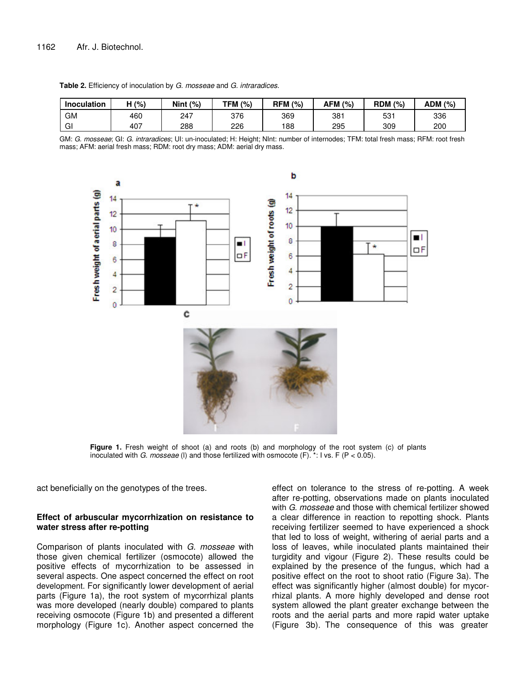| Inoculation | (9) | Nint (%) | <b>TFM (%)</b> | RFM(%) | AFM (%) | <b>RDM</b><br>(%) | ADM (%) |
|-------------|-----|----------|----------------|--------|---------|-------------------|---------|
| GM          | 460 | 247      | 376            | 369    | 381     | 531               | 336     |
| GI          | 407 | 288      | 226            | 188    | 295     | 309               | 200     |

**Table 2.** Efficiency of inoculation by *G. mosseae* and *G. intraradices*.





**Figure 1.** Fresh weight of shoot (a) and roots (b) and morphology of the root system (c) of plants inoculated with *G. mosseae* (l) and those fertilized with osmocote (F). \*: I vs. F (P < 0.05).

act beneficially on the genotypes of the trees.

# **Effect of arbuscular mycorrhization on resistance to water stress after re-potting**

Comparison of plants inoculated with *G. mosseae* with those given chemical fertilizer (osmocote) allowed the positive effects of mycorrhization to be assessed in several aspects. One aspect concerned the effect on root development. For significantly lower development of aerial parts (Figure 1a), the root system of mycorrhizal plants was more developed (nearly double) compared to plants receiving osmocote (Figure 1b) and presented a different morphology (Figure 1c). Another aspect concerned the effect on tolerance to the stress of re-potting. A week after re-potting, observations made on plants inoculated with *G. mosseae* and those with chemical fertilizer showed a clear difference in reaction to repotting shock. Plants receiving fertilizer seemed to have experienced a shock that led to loss of weight, withering of aerial parts and a loss of leaves, while inoculated plants maintained their turgidity and vigour (Figure 2). These results could be explained by the presence of the fungus, which had a positive effect on the root to shoot ratio (Figure 3a). The effect was significantly higher (almost double) for mycorrhizal plants. A more highly developed and dense root system allowed the plant greater exchange between the roots and the aerial parts and more rapid water uptake (Figure 3b). The consequence of this was greater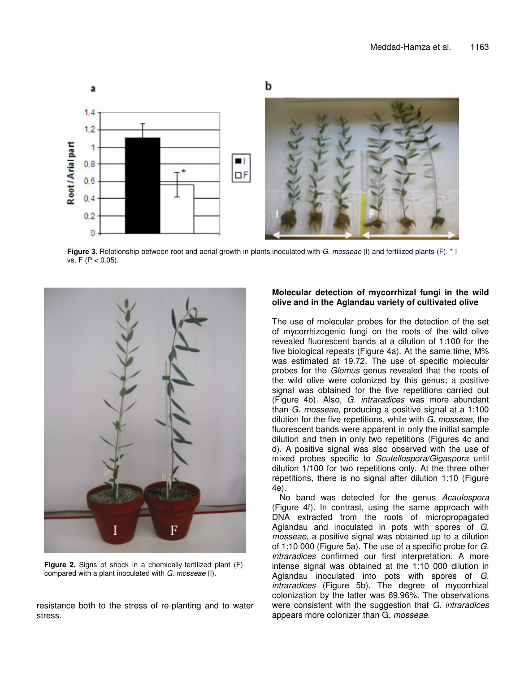

**Figure 3.** Relationship between root and aerial growth in plants inoculated with *G. mosseae* (l) and fertilized plants (F). \* I vs.  $F (P < 0.05)$ .



**Figure 2.** Signs of shock in a chemically-fertilized plant (F) compared with a plant inoculated with *G. mosseae* (I).

resistance both to the stress of re-planting and to water stress.

# **Molecular detection of mycorrhizal fungi in the wild olive and in the Aglandau variety of cultivated olive**

The use of molecular probes for the detection of the set of mycorrhizogenic fungi on the roots of the wild olive revealed fluorescent bands at a dilution of 1:100 for the five biological repeats (Figure 4a). At the same time, M% was estimated at 19.72. The use of specific molecular probes for the *Glomus* genus revealed that the roots of the wild olive were colonized by this genus; a positive signal was obtained for the five repetitions carried out (Figure 4b). Also, *G. intraradices* was more abundant than *G. mosseae*, producing a positive signal at a 1:100 dilution for the five repetitions, while with *G. mosseae*, the fluorescent bands were apparent in only the initial sample dilution and then in only two repetitions (Figures 4c and d). A positive signal was also observed with the use of mixed probes specific to *Scutellospora/Gigaspora* until dilution 1/100 for two repetitions only. At the three other repetitions, there is no signal after dilution 1:10 (Figure 4e).

No band was detected for the genus *Acaulospora* (Figure 4f). In contrast, using the same approach with DNA extracted from the roots of micropropagated Aglandau and inoculated in pots with spores of *G. mosseae*, a positive signal was obtained up to a dilution of 1:10 000 (Figure 5a). The use of a specific probe for *G. intraradices* confirmed our first interpretation. A more intense signal was obtained at the 1:10 000 dilution in Aglandau inoculated into pots with spores of *G. intraradices* (Figure 5b). The degree of mycorrhizal colonization by the latter was 69.96%. The observations were consistent with the suggestion that *G. intraradices* appears more colonizer than G. *mosseae*.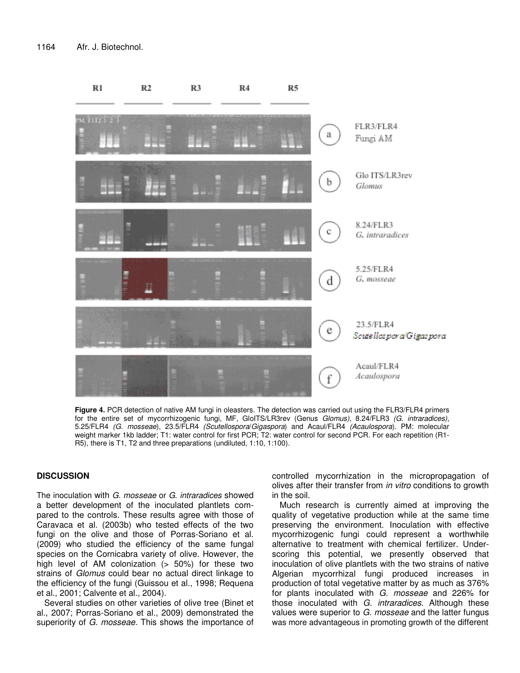

**Figure 4.** PCR detection of native AM fungi in oleasters. The detection was carried out using the FLR3/FLR4 primers for the entire set of mycorrhizogenic fungi, MF, GloITS/LR3rev (Genus *Glomus)*, 8.24/FLR3 *(G. intraradices)*, 5.25/FLR4 *(G. mosseae*), 23.5/FLR4 *(Scutellospora*/*Gigaspora*) and Acaul/FLR4 *(Acaulospora*). PM: molecular weight marker 1kb ladder; T1: water control for first PCR; T2: water control for second PCR. For each repetition (R1- R5), there is T1, T2 and three preparations (undiluted, 1:10, 1:100).

## **DISCUSSION**

The inoculation with *G. mosseae* or *G*. *intraradices* showed a better development of the inoculated plantlets compared to the controls. These results agree with those of Caravaca et al. (2003b) who tested effects of the two fungi on the olive and those of Porras-Soriano et al. (2009) who studied the efficiency of the same fungal species on the Cornicabra variety of olive. However, the high level of AM colonization (> 50%) for these two strains of *Glomus* could bear no actual direct linkage to the efficiency of the fungi (Guissou et al., 1998; Requena et al., 2001; Calvente et al., 2004).

Several studies on other varieties of olive tree (Binet et al., 2007; Porras-Soriano et al., 2009) demonstrated the superiority of *G. mosseae.* This shows the importance of controlled mycorrhization in the micropropagation of olives after their transfer from *in vitro* conditions to growth in the soil.

Much research is currently aimed at improving the quality of vegetative production while at the same time preserving the environment. Inoculation with effective mycorrhizogenic fungi could represent a worthwhile alternative to treatment with chemical fertilizer. Underscoring this potential, we presently observed that inoculation of olive plantlets with the two strains of native Algerian mycorrhizal fungi produced increases in production of total vegetative matter by as much as 376% for plants inoculated with *G. mosseae* and 226% for those inoculated with *G. intraradices*. Although these values were superior to *G. mosseae* and the latter fungus was more advantageous in promoting growth of the different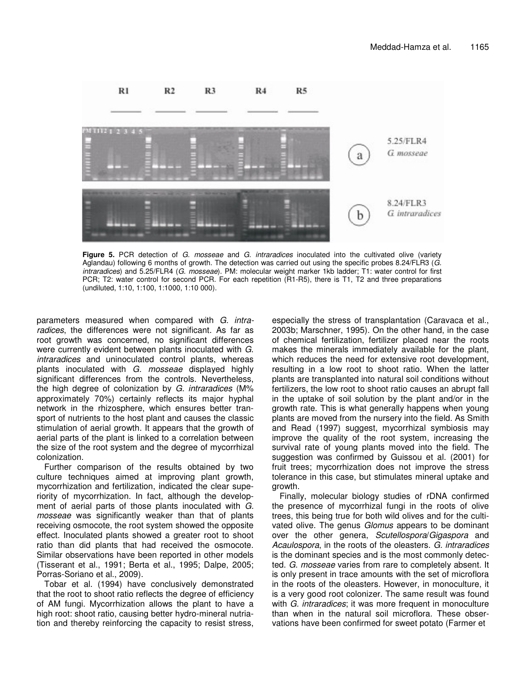

**Figure 5.** PCR detection of *G. mosseae* and *G. intraradices* inoculated into the cultivated olive (variety Aglandau) following 6 months of growth. The detection was carried out using the specific probes 8.24/FLR3 (*G. intraradices*) and 5.25/FLR4 (*G. mosseae*). PM: molecular weight marker 1kb ladder; T1: water control for first PCR; T2: water control for second PCR. For each repetition (R1-R5), there is T1, T2 and three preparations (undiluted, 1:10, 1:100, 1:1000, 1:10 000).

parameters measured when compared with *G. intraradices*, the differences were not significant. As far as root growth was concerned, no significant differences were currently evident between plants inoculated with *G*. *intraradices* and uninoculated control plants, whereas plants inoculated with *G. mosseae* displayed highly significant differences from the controls. Nevertheless, the high degree of colonization by *G. intraradices* (M% approximately 70%) certainly reflects its major hyphal network in the rhizosphere, which ensures better transport of nutrients to the host plant and causes the classic stimulation of aerial growth. It appears that the growth of aerial parts of the plant is linked to a correlation between the size of the root system and the degree of mycorrhizal colonization.

Further comparison of the results obtained by two culture techniques aimed at improving plant growth, mycorrhization and fertilization, indicated the clear superiority of mycorrhization. In fact, although the development of aerial parts of those plants inoculated with *G. mosseae* was significantly weaker than that of plants receiving osmocote, the root system showed the opposite effect. Inoculated plants showed a greater root to shoot ratio than did plants that had received the osmocote. Similar observations have been reported in other models (Tisserant et al., 1991; Berta et al., 1995; Dalpe, 2005; Porras-Soriano et al., 2009).

Tobar et al. (1994) have conclusively demonstrated that the root to shoot ratio reflects the degree of efficiency of AM fungi. Mycorrhization allows the plant to have a high root: shoot ratio, causing better hydro-mineral nutriation and thereby reinforcing the capacity to resist stress, especially the stress of transplantation (Caravaca et al., 2003b; Marschner, 1995). On the other hand, in the case of chemical fertilization, fertilizer placed near the roots makes the minerals immediately available for the plant, which reduces the need for extensive root development, resulting in a low root to shoot ratio. When the latter plants are transplanted into natural soil conditions without fertilizers, the low root to shoot ratio causes an abrupt fall in the uptake of soil solution by the plant and/or in the growth rate. This is what generally happens when young plants are moved from the nursery into the field. As Smith and Read (1997) suggest, mycorrhizal symbiosis may improve the quality of the root system, increasing the survival rate of young plants moved into the field. The suggestion was confirmed by Guissou et al. (2001) for fruit trees; mycorrhization does not improve the stress tolerance in this case, but stimulates mineral uptake and growth.

Finally, molecular biology studies of rDNA confirmed the presence of mycorrhizal fungi in the roots of olive trees, this being true for both wild olives and for the cultivated olive. The genus *Glomus* appears to be dominant over the other genera, *Scutellospora*/*Gigaspora* and *Acaulospora*, in the roots of the oleasters. *G. intraradices* is the dominant species and is the most commonly detected. *G*. *mosseae* varies from rare to completely absent. It is only present in trace amounts with the set of microflora in the roots of the oleasters. However, in monoculture, it is a very good root colonizer. The same result was found with *G. intraradices*; it was more frequent in monoculture than when in the natural soil microflora. These observations have been confirmed for sweet potato (Farmer et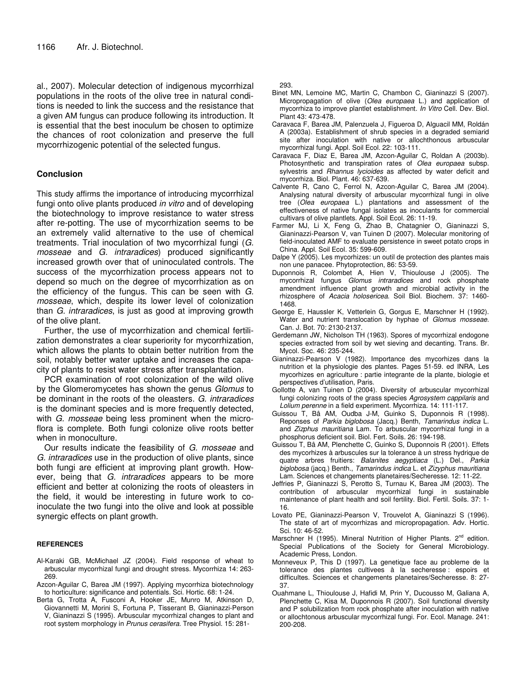al., 2007). Molecular detection of indigenous mycorrhizal populations in the roots of the olive tree in natural conditions is needed to link the success and the resistance that a given AM fungus can produce following its introduction. It is essential that the best inoculum be chosen to optimize the chances of root colonization and preserve the full mycorrhizogenic potential of the selected fungus.

# **Conclusion**

This study affirms the importance of introducing mycorrhizal fungi onto olive plants produced *in vitro* and of developing the biotechnology to improve resistance to water stress after re-potting. The use of mycorrhization seems to be an extremely valid alternative to the use of chemical treatments. Trial inoculation of two mycorrhizal fungi (*G. mosseae* and *G. intraradices*) produced significantly increased growth over that of uninoculated controls. The success of the mycorrhization process appears not to depend so much on the degree of mycorrhization as on the efficiency of the fungus. This can be seen with *G. mosseae*, which, despite its lower level of colonization than *G. intraradices*, is just as good at improving growth of the olive plant.

Further, the use of mycorrhization and chemical fertilization demonstrates a clear superiority for mycorrhization, which allows the plants to obtain better nutrition from the soil, notably better water uptake and increases the capacity of plants to resist water stress after transplantation.

PCR examination of root colonization of the wild olive by the Glomeromycetes has shown the genus *Glomus* to be dominant in the roots of the oleasters. *G*. *intraradices* is the dominant species and is more frequently detected, with *G. mosseae* being less prominent when the microflora is complete. Both fungi colonize olive roots better when in monoculture.

Our results indicate the feasibility of *G. mosseae* and *G. intraradices* use in the production of olive plants, since both fungi are efficient at improving plant growth. However, being that *G. intraradices* appears to be more efficient and better at colonizing the roots of oleasters in the field, it would be interesting in future work to coinoculate the two fungi into the olive and look at possible synergic effects on plant growth.

## **REFERENCES**

- Al-Karaki GB, McMichael JZ (2004). Field response of wheat to arbuscular mycorrhizal fungi and drought stress. Mycorrhiza 14: 263- 269.
- Azcon-Aguilar C, Barea JM (1997). Applying mycorrhiza biotechnology to horticulture: significance and potentials. Sci. Hortic. 68: 1-24.
- Berta G, Trotta A, Fusconi A, Hooker JE, Munro M, Atkinson D, Giovannetti M, Morini S, Fortuna P, Tisserant B, Gianinazzi-Person V, Gianinazzi S (1995). Arbuscular mycorrhizal changes to plant and root system morphology in *Prunus cerasifera*. Tree Physiol. 15: 281-

293.

- Binet MN, Lemoine MC, Martin C, Chambon C, Gianinazzi S (2007). Micropropagation of olive (*Olea europaea* L.) and application of mycorrhiza to improve plantlet establishment. *In Vitro* Cell. Dev. Biol. Plant 43: 473-478.
- Caravaca F, Barea JM, Palenzuela J, Figueroa D, Alguacil MM, Roldán A (2003a). Establishment of shrub species in a degraded semiarid site after inoculation with native or allochthonous arbuscular mycorrhizal fungi. Appl. Soil Ecol. 22: 103-111.
- Caravaca F, Diaz E, Barea JM, Azcon-Aguilar C, Roldan A (2003b). Photosynthetic and transpiration rates of *Olea europaea* subsp. sylvestris and *Rhannus lycioides* as affected by water deficit and mycorrhiza. Biol. Plant. 46: 637-639.
- Calvente R, Cano C, Ferrol N, Azcon-Aguilar C, Barea JM (2004). Analysing natural diversity of arbuscular mycorrhizal fungi in olive tree (*Olea europaea* L.) plantations and assessment of the effectiveness of native fungal isolates as inoculants for commercial cultivars of olive plantlets. Appl. Soil Ecol. 26: 11-19.
- Farmer MJ, Li X, Feng G, Zhao B, Chatagnier O, Gianinazzi S, Gianinazzi-Pearson V, van Tuinen D (2007). Molecular monitoring of field-inoculated AMF to evaluate persistence in sweet potato crops in China. Appl. Soil Ecol. 35: 599-609.
- Dalpe Y (2005). Les mycorhizes: un outil de protection des plantes mais non une panacee. Phytoprotection, 86: 53-59.
- Duponnois R, Colombet A, Hien V, Thioulouse J (2005). The mycorrhizal fungus *Glomus intraradices* and rock phosphate amendment influence plant growth and microbial activity in the rhizosphere of *Acacia holosericea*. Soil Biol. Biochem. 37: 1460- 1468.
- George E, Haussler K, Vetterlein G, Gorgus E, Marschner H (1992). Water and nutrient translocation by hyphae of *Glomus mosseae*. Can. J. Bot. 70: 2130-2137.
- Gerdemann JW, Nicholson TH (1963). Spores of mycorrhizal endogone species extracted from soil by wet sieving and decanting. Trans. Br. Mycol. Soc. 46: 235-244.
- Gianinazzi-Pearson V (1982). Importance des mycorhizes dans la nutrition et la physiologie des plantes. Pages 51-59. ed INRA, Les mycorhizes en agriculture : partie integrante de la plante, biologie et perspectives d'utilisation, Paris.
- Gollotte A, van Tuinen D (2004). Diversity of arbuscular mycorrhizal fungi colonizing roots of the grass species *Agrosystem cappilaris* and *Lolium perenne* in a field experiment. Mycorrhiza. 14: 111-117.
- Guissou T, Bâ AM, Oudba J-M, Guinko S, Duponnois R (1998). Reponses of *Parkia biglobosa* (Jacq.) Benth, *Tamarindus indica* L. and *Zizphus mauritiana* Lam. To arbuscular mycorrhizal fungi in a phosphorus deficient soil. Biol. Fert. Soils. 26: 194-198.
- Guissou T, Bâ AM, Plenchette C, Guinko S, Duponnois R (2001). Effets des mycorhizes à arbuscules sur la tolerance à un stress hydrique de quatre arbres fruitiers: *Balanites aegyptiaca* (L.) Del., *Parkia biglobosa* (jacq.) Benth., *Tamarindus indica* L. et *Zizyphus mauritiana* Lam. Sciences et changements planetaires/Secheresse. 12: 11-22.
- Jeffries P, Gianinazzi S, Perotto S, Turnau K, Barea JM (2003). The contribution of arbuscular mycorrhizal fungi in sustainable maintenance of plant health and soil fertility. Biol. Fertil. Soils. 37: 1- 16.
- Lovato PE, Gianinazzi-Pearson V, Trouvelot A, Gianinazzi S (1996). The state of art of mycorrhizas and micropropagation. Adv. Hortic. Sci. 10: 46-52.
- Marschner H (1995). Mineral Nutrition of Higher Plants. 2<sup>nd</sup> edition. Special Publications of the Society for General Microbiology. Academic Press, London.
- Monneveux P, This D (1997). La genetique face au probleme de la tolerance des plantes cultivees à la secheresse : espoirs et difficultes. Sciences et changements planetaires/Secheresse. 8: 27- 37.
- Ouahmane L, Thioulouse J, Hafidi M, Prin Y, Ducousso M, Galiana A, Plenchette C, Kisa M, Duponnois R (2007). Soil functional diversity and P solubilization from rock phosphate after inoculation with native or allochtonous arbuscular mycorrhizal fungi. For. Ecol. Manage. 241: 200-208.